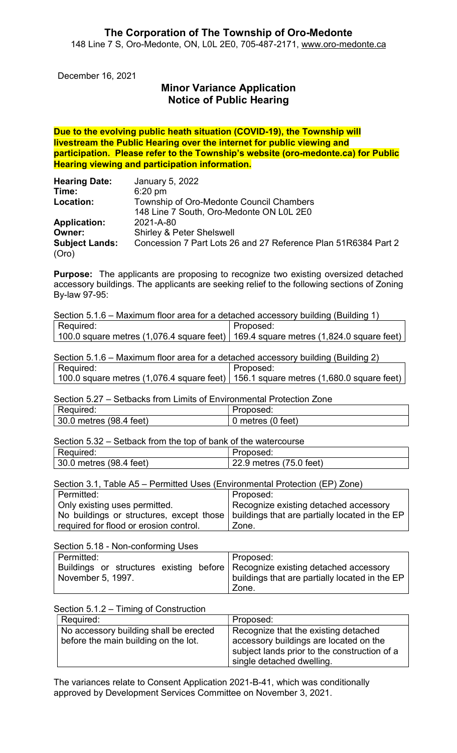December 16, 2021

# Minor Variance Application Notice of Public Hearing

Due to the evolving public heath situation (COVID-19), the Township will livestream the Public Hearing over the internet for public viewing and participation. Please refer to the Township's website (oro-medonte.ca) for Public Hearing viewing and participation information.

| January 5, 2022                                                |
|----------------------------------------------------------------|
| $6:20 \text{ pm}$                                              |
| Township of Oro-Medonte Council Chambers                       |
| 148 Line 7 South, Oro-Medonte ON L0L 2E0                       |
| 2021-A-80                                                      |
| <b>Shirley &amp; Peter Shelswell</b>                           |
| Concession 7 Part Lots 26 and 27 Reference Plan 51R6384 Part 2 |
|                                                                |

Purpose: The applicants are proposing to recognize two existing oversized detached accessory buildings. The applicants are seeking relief to the following sections of Zoning By-law 97-95:

| Section 5.1.6 – Maximum floor area for a detached accessory building (Building 1)                        |           |  |
|----------------------------------------------------------------------------------------------------------|-----------|--|
| Required:                                                                                                | Proposed: |  |
| $\mid$ 100.0 square metres (1,076.4 square feet) $\mid$ 169.4 square metres (1,824.0 square feet) $\mid$ |           |  |

Section 5.1.6 – Maximum floor area for a detached accessory building (Building 2) Required: 100.0 square metres (1,076.4 square feet) Proposed: 156.1 square metres (1,680.0 square feet)

Section 5.27 – Setbacks from Limits of Environmental Protection Zone

| Required:               | <i>'</i> roposed:  |
|-------------------------|--------------------|
| 30.0 metres (98.4 feet) | feet)<br>metres (0 |

Section 5.32 – Setback from the top of bank of the watercourse

| Required:               | Proposed:               |
|-------------------------|-------------------------|
| 30.0 metres (98.4 feet) | 22.9 metres (75.0 feet) |

Section 3.1, Table A5 – Permitted Uses (Environmental Protection (EP) Zone)

| l Permitted:                           | Proposed:                                                                                 |
|----------------------------------------|-------------------------------------------------------------------------------------------|
| Only existing uses permitted.          | Recognize existing detached accessory                                                     |
|                                        | No buildings or structures, except those   buildings that are partially located in the EP |
| required for flood or erosion control. | Zone.                                                                                     |

Section 5.18 - Non-conforming Uses

| Permitted:                                                                    | Proposed:                                          |
|-------------------------------------------------------------------------------|----------------------------------------------------|
| Buildings or structures existing before Recognize existing detached accessory |                                                    |
| November 5, 1997.                                                             | buildings that are partially located in the EP $ $ |
|                                                                               | Zone.                                              |

#### Section 5.1.2 – Timing of Construction

| Required:                              | Proposed:                                                                                                           |
|----------------------------------------|---------------------------------------------------------------------------------------------------------------------|
| No accessory building shall be erected | Recognize that the existing detached                                                                                |
| before the main building on the lot.   | accessory buildings are located on the<br>subject lands prior to the construction of a<br>single detached dwelling. |

The variances relate to Consent Application 2021-B-41, which was conditionally approved by Development Services Committee on November 3, 2021.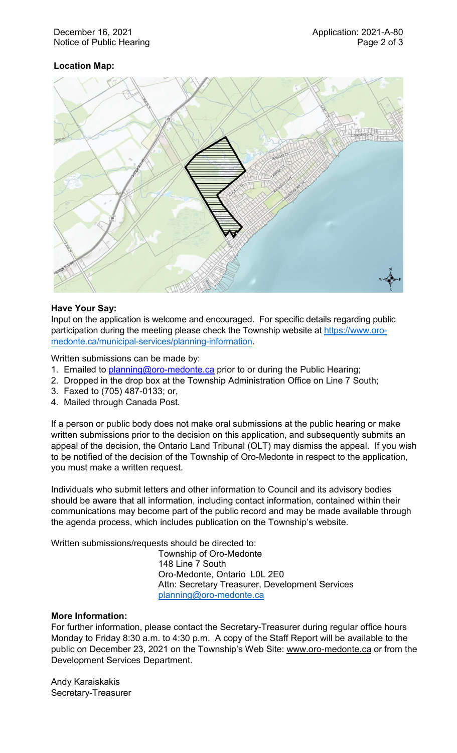## Location Map:



## Have Your Say:

Input on the application is welcome and encouraged. For specific details regarding public participation during the meeting please check the Township website at https://www.oromedonte.ca/municipal-services/planning-information.

Written submissions can be made by:

- 1. Emailed to **planning@oro-medonte.ca** prior to or during the Public Hearing;
- 2. Dropped in the drop box at the Township Administration Office on Line 7 South;
- 3. Faxed to (705) 487-0133; or,
- 4. Mailed through Canada Post.

If a person or public body does not make oral submissions at the public hearing or make written submissions prior to the decision on this application, and subsequently submits an appeal of the decision, the Ontario Land Tribunal (OLT) may dismiss the appeal. If you wish to be notified of the decision of the Township of Oro-Medonte in respect to the application, you must make a written request.

Individuals who submit letters and other information to Council and its advisory bodies should be aware that all information, including contact information, contained within their communications may become part of the public record and may be made available through the agenda process, which includes publication on the Township's website.

Written submissions/requests should be directed to:

Township of Oro-Medonte 148 Line 7 South Oro-Medonte, Ontario L0L 2E0 Attn: Secretary Treasurer, Development Services planning@oro-medonte.ca

#### More Information:

For further information, please contact the Secretary-Treasurer during regular office hours Monday to Friday 8:30 a.m. to 4:30 p.m. A copy of the Staff Report will be available to the public on December 23, 2021 on the Township's Web Site: www.oro-medonte.ca or from the Development Services Department.

Andy Karaiskakis Secretary-Treasurer